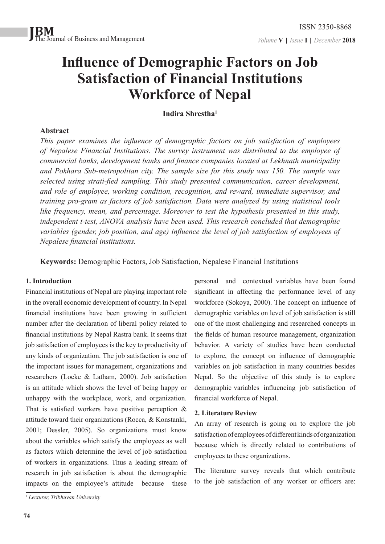# **Influence of Demographic Factors on Job Satisfaction of Financial Institutions Workforce of Nepal**

# **Indira Shrestha1**

# **Abstract**

*This paper examines the influence of demographic factors on job satisfaction of employees of Nepalese Financial Institutions. The survey instrument was distributed to the employee of commercial banks, development banks and finance companies located at Lekhnath municipality and Pokhara Sub-metropolitan city. The sample size for this study was 150. The sample was selected using strati-fied sampling. This study presented communication, career development, and role of employee, working condition, recognition, and reward, immediate supervisor, and training pro-gram as factors of job satisfaction. Data were analyzed by using statistical tools like frequency, mean, and percentage. Moreover to test the hypothesis presented in this study, independent t-test, ANOVA analysis have been used. This research concluded that demographic variables (gender, job position, and age) influence the level of job satisfaction of employees of Nepalese financial institutions.*

**Keywords:** Demographic Factors, Job Satisfaction, Nepalese Financial Institutions

## **1. Introduction**

Financial institutions of Nepal are playing important role in the overall economic development of country. In Nepal financial institutions have been growing in sufficient number after the declaration of liberal policy related to financial institutions by Nepal Rastra bank. It seems that job satisfaction of employees is the key to productivity of any kinds of organization. The job satisfaction is one of the important issues for management, organizations and researchers (Locke & Latham, 2000). Job satisfaction is an attitude which shows the level of being happy or unhappy with the workplace, work, and organization. That is satisfied workers have positive perception  $\&$ attitude toward their organizations (Rocca, & Konstanki, 2001; Dessler, 2005). So organizations must know about the variables which satisfy the employees as well as factors which determine the level of job satisfaction of workers in organizations. Thus a leading stream of research in job satisfaction is about the demographic impacts on the employee's attitude because these

personal and contextual variables have been found significant in affecting the performance level of any workforce (Sokoya, 2000). The concept on influence of demographic variables on level of job satisfaction is still one of the most challenging and researched concepts in the fields of human resource management, organization behavior. A variety of studies have been conducted to explore, the concept on influence of demographic variables on job satisfaction in many countries besides Nepal. So the objective of this study is to explore demographic variables influencing job satisfaction of financial workforce of Nepal.

## **2. Literature Review**

An array of research is going on to explore the job satisfaction of employees of different kinds of organization because which is directly related to contributions of employees to these organizations.

The literature survey reveals that which contribute to the job satisfaction of any worker or officers are:

<sup>1</sup>  *Lecturer, Tribhuvan University*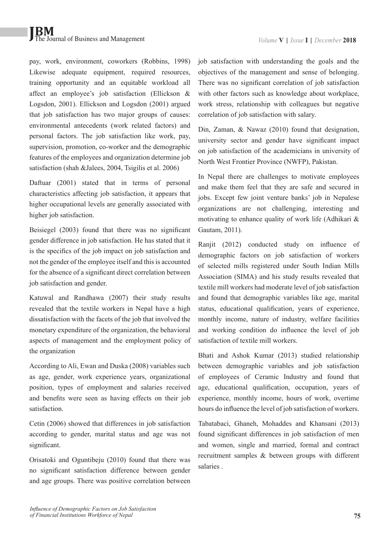pay, work, environment, coworkers (Robbins, 1998) Likewise adequate equipment, required resources, training opportunity and an equitable workload all affect an employee's job satisfaction (Ellickson & Logsdon, 2001). Ellickson and Logsdon (2001) argued that job satisfaction has two major groups of causes: environmental antecedents (work related factors) and personal factors. The job satisfaction like work, pay, supervision, promotion, co-worker and the demographic features of the employees and organization determine job satisfaction (shah &Jalees, 2004, Tsigilis et al. 2006)

Daftuar (2001) stated that in terms of personal characteristics affecting job satisfaction, it appears that higher occupational levels are generally associated with higher job satisfaction.

Beisiegel (2003) found that there was no significant gender difference in job satisfaction. He has stated that it is the specifics of the job impact on job satisfaction and not the gender of the employee itself and this is accounted for the absence of a significant direct correlation between job satisfaction and gender.

Katuwal and Randhawa (2007) their study results revealed that the textile workers in Nepal have a high dissatisfaction with the facets of the job that involved the monetary expenditure of the organization, the behavioral aspects of management and the employment policy of the organization

According to Ali, Ewan and Duska (2008) variables such as age, gender, work experience years, organizational position, types of employment and salaries received and benefits were seen as having effects on their job satisfaction.

Cetin (2006) showed that differences in job satisfaction according to gender, marital status and age was not significant.

Orisatoki and Oguntibeju (2010) found that there was no significant satisfaction difference between gender and age groups. There was positive correlation between job satisfaction with understanding the goals and the objectives of the management and sense of belonging. There was no significant correlation of job satisfaction with other factors such as knowledge about workplace, work stress, relationship with colleagues but negative correlation of job satisfaction with salary.

Din, Zaman, & Nawaz (2010) found that designation, university sector and gender have significant impact on job satisfaction of the academicians in university of North West Frontier Province (NWFP), Pakistan.

In Nepal there are challenges to motivate employees and make them feel that they are safe and secured in jobs. Except few joint venture banks' job in Nepalese organizations are not challenging, interesting and motivating to enhance quality of work life (Adhikari & Gautam, 2011).

Ranjit (2012) conducted study on influence of demographic factors on job satisfaction of workers of selected mills registered under South Indian Mills Association (SIMA) and his study results revealed that textile mill workers had moderate level of job satisfaction and found that demographic variables like age, marital status, educational qualification, years of experience, monthly income, nature of industry, welfare facilities and working condition do influence the level of job satisfaction of textile mill workers.

Bhati and Ashok Kumar (2013) studied relationship between demographic variables and job satisfaction of employees of Ceramic Industry and found that age, educational qualification, occupation, years of experience, monthly income, hours of work, overtime hours do influence the level of job satisfaction of workers.

Tabatabaci, Ghaneh, Mohaddes and Khansani (2013) found significant differences in job satisfaction of men and women, single and married, formal and contract recruitment samples & between groups with different salaries .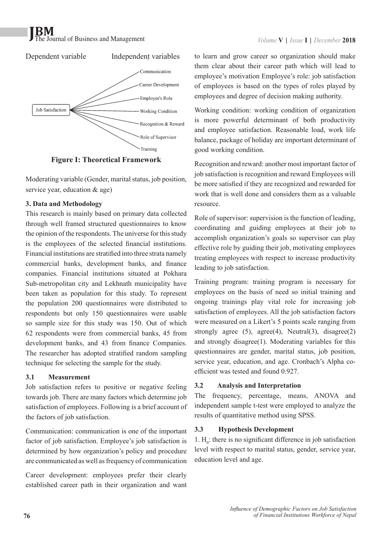# The Journal of Business and Management



**Figure I: Theoretical Framework**

Moderating variable (Gender, marital status, job position, service year, education & age)

# **3. Data and Methodology**

This research is mainly based on primary data collected through well framed structured questionnaires to know the opinion of the respondents. The universe for this study is the employees of the selected financial institutions. Financial institutions are stratified into three strata namely commercial banks, development banks, and finance companies. Financial institutions situated at Pokhara Sub-metropolitan city and Lekhnath municipality have been taken as population for this study. To represent the population 200 questionnaires were distributed to respondents but only 150 questionnaires were usable so sample size for this study was 150. Out of which 62 respondents were from commercial banks, 45 from development banks, and 43 from finance Companies. The researcher has adopted stratified random sampling technique for selecting the sample for the study.

## **3.1 Measurement**

Job satisfaction refers to positive or negative feeling towards job. There are many factors which determine job satisfaction of employees. Following is a brief account of the factors of job satisfaction.

Communication: communication is one of the important factor of job satisfaction. Employee's job satisfaction is determined by how organization's policy and procedure are communicated as well as frequency of communication

Career development: employees prefer their clearly established career path in their organization and want

to learn and grow career so organization should make them clear about their career path which will lead to employee's motivation Employee's role: job satisfaction of employees is based on the types of roles played by employees and degree of decision making authority.

Working condition: working condition of organization is more powerful determinant of both productivity and employee satisfaction. Reasonable load, work life balance, package of holiday are important determinant of good working condition.

Recognition and reward: another most important factor of job satisfaction is recognition and reward Employees will be more satisfied if they are recognized and rewarded for work that is well done and considers them as a valuable resource.

Role of supervisor: supervision is the function of leading, coordinating and guiding employees at their job to accomplish organization's goals so supervisor can play effective role by guiding their job, motivating employees treating employees with respect to increase productivity leading to job satisfaction.

Training program: training program is necessary for employees on the basis of need so initial training and ongoing trainings play vital role for increasing job satisfaction of employees. All the job satisfaction factors were measured on a Likert's 5 points scale ranging from strongly agree  $(5)$ , agree $(4)$ , Neutral $(3)$ , disagree $(2)$ and strongly disagree(1). Moderating variables for this questionnaires are gender, marital status, job position, service year, education, and age. Cronbach's Alpha coefficient was tested and found 0.927.

# **3.2 Analysis and Interpretation**

The frequency, percentage, means, ANOVA and independent sample t-test were employed to analyze the results of quantitative method using SPSS.

# **3.3 Hypothesis Development**

1.  $H_0$ : there is no significant difference in job satisfaction level with respect to marital status, gender, service year, education level and age.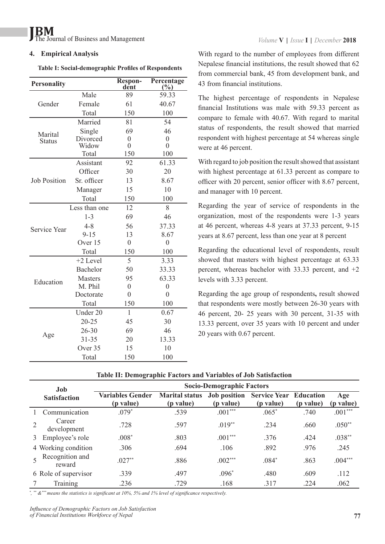#### **4. Empirical Analysis**

**Table I: Social-demographic Profiles of Respondents**

| <b>Personality</b>  |                 | <b>Respon-</b><br>dent | Percentage<br>$(\frac{0}{0})$ |
|---------------------|-----------------|------------------------|-------------------------------|
|                     | Male            | 89                     | 59.33                         |
| Gender              | Female          | 61                     | 40.67                         |
|                     | Total           | 150                    | 100                           |
|                     | Married         | 81                     | 54                            |
| Marital             | Single          | 69                     | 46                            |
| <b>Status</b>       | Divorced        | $\overline{0}$         | $\overline{0}$                |
|                     | Widow           | $\overline{0}$         | $\overline{0}$                |
|                     | Total           | 150                    | 100                           |
|                     | Assistant       | 92                     | 61.33                         |
|                     | Officer         | 30                     | 20                            |
| <b>Job Position</b> | Sr. officer     | 13                     | 8.67                          |
|                     | Manager         | 15                     | 10                            |
|                     | Total           | 150                    | 100                           |
|                     | Less than one   | 12                     | 8                             |
|                     | $1 - 3$         | 69                     | 46                            |
| <b>Service Year</b> | $4 - 8$         | 56                     | 37.33                         |
|                     | $9 - 15$        | 13                     | 8.67                          |
|                     | Over 15         | $\boldsymbol{0}$       | $\overline{0}$                |
|                     | Total           | 150                    | 100                           |
|                     | +2 Level        | 5                      | 3.33                          |
|                     | <b>Bachelor</b> | 50                     | 33.33                         |
| Education           | <b>Masters</b>  | 95                     | 63.33                         |
|                     | M. Phil         | $\overline{0}$         | $\overline{0}$                |
|                     | Doctorate       | $\overline{0}$         | $\overline{0}$                |
|                     | Total           | 150                    | 100                           |
|                     | Under 20        | $\mathbf{1}$           | 0.67                          |
|                     | $20 - 25$       | 45                     | 30                            |
|                     | $26 - 30$       | 69                     | 46                            |
| Age                 | $31 - 35$       | 20                     | 13.33                         |
|                     | Over 35         | 15                     | 10                            |
|                     | Total           | 150                    | 100                           |

With regard to the number of employees from different Nepalese financial institutions, the result showed that 62 from commercial bank, 45 from development bank, and 43 from financial institutions.

The highest percentage of respondents in Nepalese financial Institutions was male with 59.33 percent as compare to female with 40.67. With regard to marital status of respondents, the result showed that married respondent with highest percentage at 54 whereas single were at 46 percent.

With regard to job position the result showed that assistant with highest percentage at 61.33 percent as compare to officer with 20 percent, senior officer with 8.67 percent, and manager with 10 percent.

Regarding the year of service of respondents in the organization, most of the respondents were 1-3 years at 46 percent, whereas 4-8 years at 37.33 percent, 9-15 years at 8.67 percent, less than one year at 8 percent

Regarding the educational level of respondents, result showed that masters with highest percentage at 63.33 percent, whereas bachelor with 33.33 percent, and +2 levels with 3.33 percent.

Regarding the age group of respondents**,** result showed that respondents were mostly between 26-30 years with 46 percent, 20- 25 years with 30 percent, 31-35 with 13.33 percent, over 35 years with 10 percent and under 20 years with 0.67 percent.

#### **Table II: Demographic Factors and Variables of Job Satisfaction**

| Job<br><b>Satisfaction</b> |                           | <b>Socio-Demographic Factors</b>     |                                            |                                  |                                            |           |                          |
|----------------------------|---------------------------|--------------------------------------|--------------------------------------------|----------------------------------|--------------------------------------------|-----------|--------------------------|
|                            |                           | <b>Variables Gender</b><br>(p value) | <b>Marital status</b><br>( <i>p</i> value) | <b>Job position</b><br>(p value) | <b>Service Year Education</b><br>(p value) | (p value) | Age<br>( <i>p</i> value) |
|                            | Communication             | $.079*$                              | .539                                       | $.001***$                        | $.065*$                                    | .740      | $.001***$                |
|                            | Career<br>development     | .728                                 | .597                                       | $.019**$                         | .234                                       | .660      | $.050**$                 |
| 3                          | Employee's role           | $.008*$                              | .803                                       | $.001***$                        | .376                                       | .424      | $.038**$                 |
|                            | 4 Working condition       | .306                                 | .694                                       | .106                             | .892                                       | .976      | .245                     |
|                            | Recognition and<br>reward | $.027**$                             | .886                                       | $.002***$                        | $.084*$                                    | .863      | $.004***$                |
|                            | 6 Role of supervisor      | .339                                 | .497                                       | $.096*$                          | .480                                       | .609      | .112                     |
|                            | Training                  | .236                                 | .729                                       | .168                             | .317                                       | .224      | .062                     |

*\* , \*\* &\*\*\* means the statistics is significant at 10%, 5% and 1% level of significance respectively.*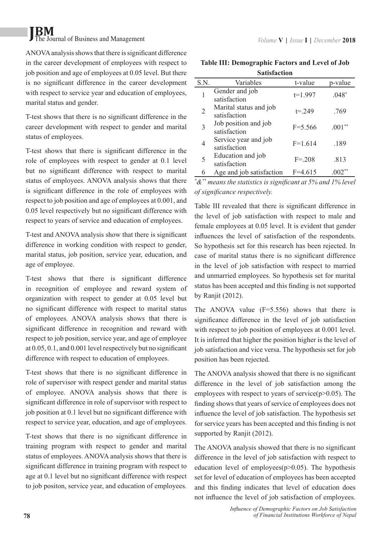# **JBM** The Journal of Business and Management *Volume* **V** | *Issue* **I** | *December* **2018**

ANOVA analysis shows that there is significant difference in the career development of employees with respect to job position and age of employees at 0.05 level. But there is no significant difference in the career development with respect to service year and education of employees, marital status and gender.

T-test shows that there is no significant difference in the career development with respect to gender and marital status of employees.

T-test shows that there is significant difference in the role of employees with respect to gender at 0.1 level but no significant difference with respect to marital status of employees. ANOVA analysis shows that there is significant difference in the role of employees with respect to job position and age of employees at 0.001, and 0.05 level respectively but no significant difference with respect to years of service and education of employees.

T-test and ANOVA analysis show that there is significant difference in working condition with respect to gender, marital status, job position, service year, education, and age of employee.

T-test shows that there is significant difference in recognition of employee and reward system of organization with respect to gender at 0.05 level but no significant difference with respect to marital status of employees. ANOVA analysis shows that there is significant difference in recognition and reward with respect to job position, service year, and age of employee at 0.05, 0.1, and 0.001 level respectively but no significant difference with respect to education of employees.

T-test shows that there is no significant difference in role of supervisor with respect gender and marital status of employee. ANOVA analysis shows that there is significant difference in role of supervisor with respect to job position at 0.1 level but no significant difference with respect to service year, education, and age of employees.

T-test shows that there is no significant difference in training program with respect to gender and marital status of employees. ANOVA analysis shows that there is significant difference in training program with respect to age at 0.1 level but no significant difference with respect to job positon, service year, and education of employees.

| <b>Table III: Demographic Factors and Level of Job</b> |  |  |  |  |  |
|--------------------------------------------------------|--|--|--|--|--|
| <b>Satisfaction</b>                                    |  |  |  |  |  |

| oawwav |                                        |             |               |  |  |  |
|--------|----------------------------------------|-------------|---------------|--|--|--|
| S.N.   | Variables                              | t-value     | p-value       |  |  |  |
|        | Gender and job<br>satisfaction         | $t=1.997$   | $.048*$       |  |  |  |
| 2      | Marital status and job<br>satisfaction | $t = 249$   | .769          |  |  |  |
| 3      | Job position and job<br>satisfaction   | $F = 5.566$ | .001          |  |  |  |
|        | Service year and job<br>satisfaction   | $F=1.614$   | .189          |  |  |  |
| 5      | Education and job<br>satisfaction      | $F = 208$   | .813          |  |  |  |
| 6      | Age and job satisfaction               | $F=4.615$   | $002^{\circ}$ |  |  |  |

*\* &\*\* means the statistics is significant at 5% and 1% level of significance respectively.*

Table III revealed that there is significant difference in the level of job satisfaction with respect to male and female employees at 0.05 level. It is evident that gender influences the level of satisfaction of the respondents. So hypothesis set for this research has been rejected. In case of marital status there is no significant difference in the level of job satisfaction with respect to married and unmarried employees. So hypothesis set for marital status has been accepted and this finding is not supported by Ranjit (2012).

The ANOVA value (F=5.556) shows that there is significance difference in the level of job satisfaction with respect to job position of employees at 0.001 level. It is inferred that higher the position higher is the level of job satisfaction and vice versa. The hypothesis set for job position has been rejected.

The ANOVA analysis showed that there is no significant difference in the level of job satisfaction among the employees with respect to years of service $(p>0.05)$ . The finding shows that years of service of employees does not influence the level of job satisfaction. The hypothesis set for service years has been accepted and this finding is not supported by Ranjit (2012).

The ANOVA analysis showed that there is no significant difference in the level of job satisfaction with respect to education level of employees( $p$  $>$ 0.05). The hypothesis set for level of education of employees has been accepted and this finding indicates that level of education does not influence the level of job satisfaction of employees.